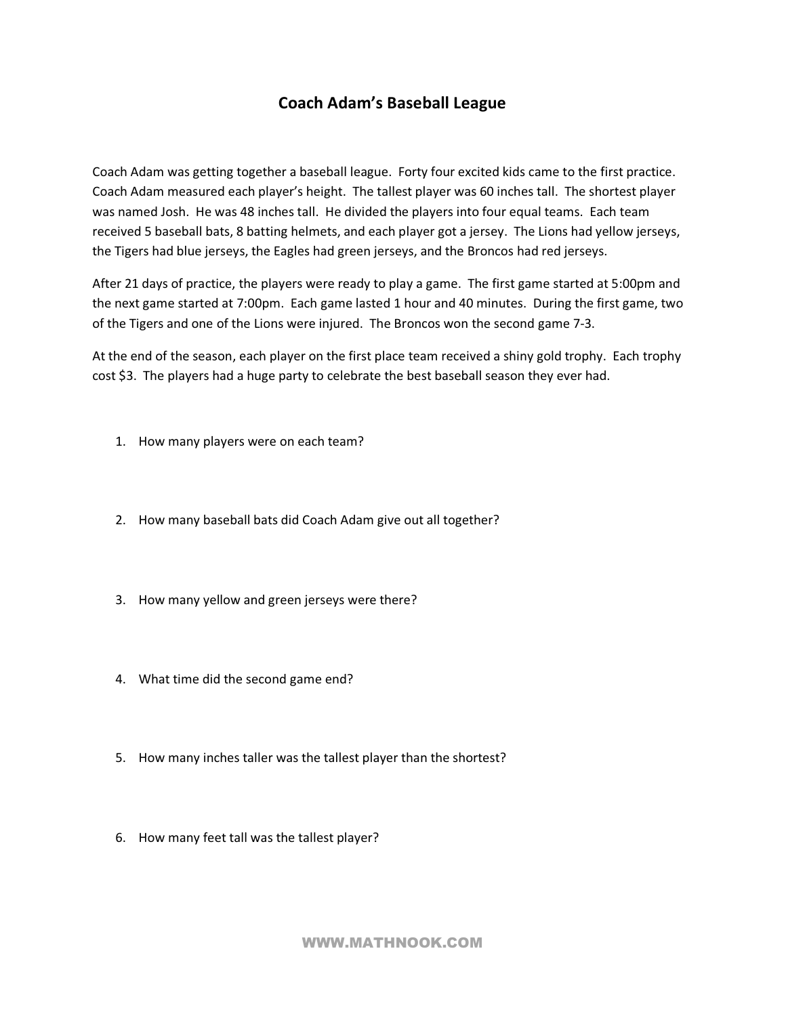## **Coach Adam's Baseball League**

Coach Adam was getting together a baseball league. Forty four excited kids came to the first practice. Coach Adam measured each player's height. The tallest player was 60 inches tall. The shortest player was named Josh. He was 48 inches tall. He divided the players into four equal teams. Each team received 5 baseball bats, 8 batting helmets, and each player got a jersey. The Lions had yellow jerseys, the Tigers had blue jerseys, the Eagles had green jerseys, and the Broncos had red jerseys.

After 21 days of practice, the players were ready to play a game. The first game started at 5:00pm and the next game started at 7:00pm. Each game lasted 1 hour and 40 minutes. During the first game, two of the Tigers and one of the Lions were injured. The Broncos won the second game 73.

At the end of the season, each player on the first place team received a shiny gold trophy. Each trophy cost \$3. The players had a huge party to celebrate the best baseball season they ever had.

- 1. How many players were on each team?
- 2. How many baseball bats did Coach Adam give out all together?
- 3. How many yellow and green jerseys were there?
- 4. What time did the second game end?
- 5. How many inches taller was the tallest player than the shortest?
- 6. How many feet tall was the tallest player?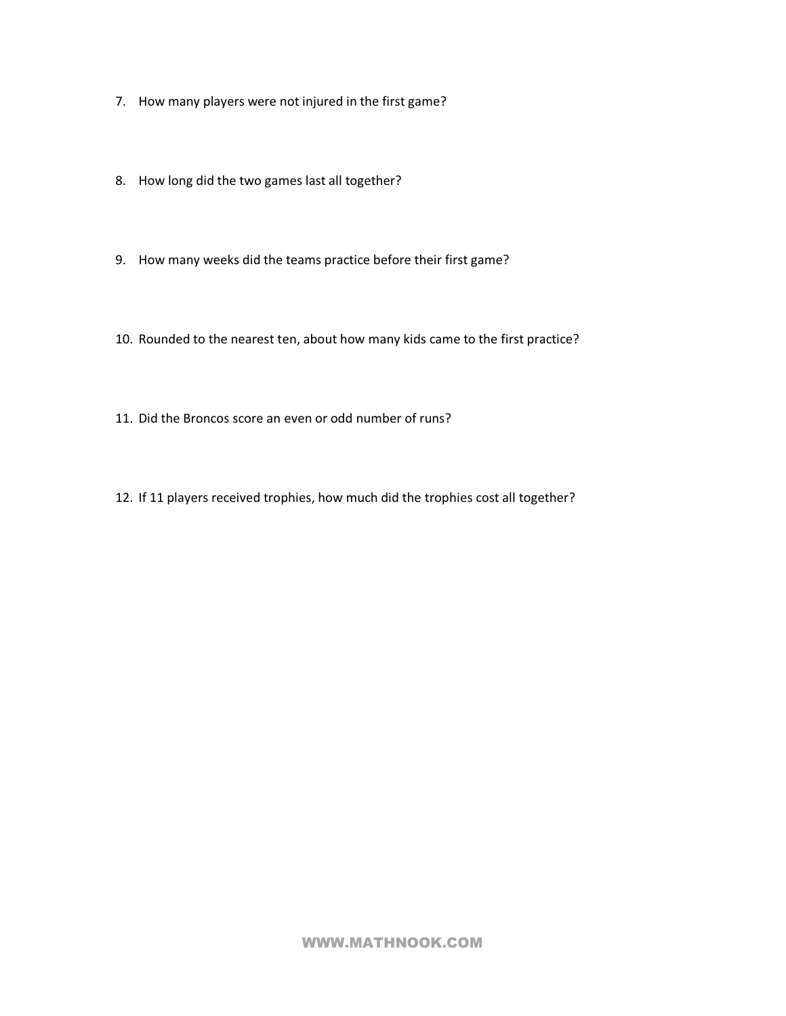- 7. How many players were not injured in the first game?
- 8. How long did the two games last all together?
- 9. How many weeks did the teams practice before their first game?
- 10. Rounded to the nearest ten, about how many kids came to the first practice?
- 11. Did the Broncos score an even or odd number of runs?
- 12. If 11 players received trophies, how much did the trophies cost all together?